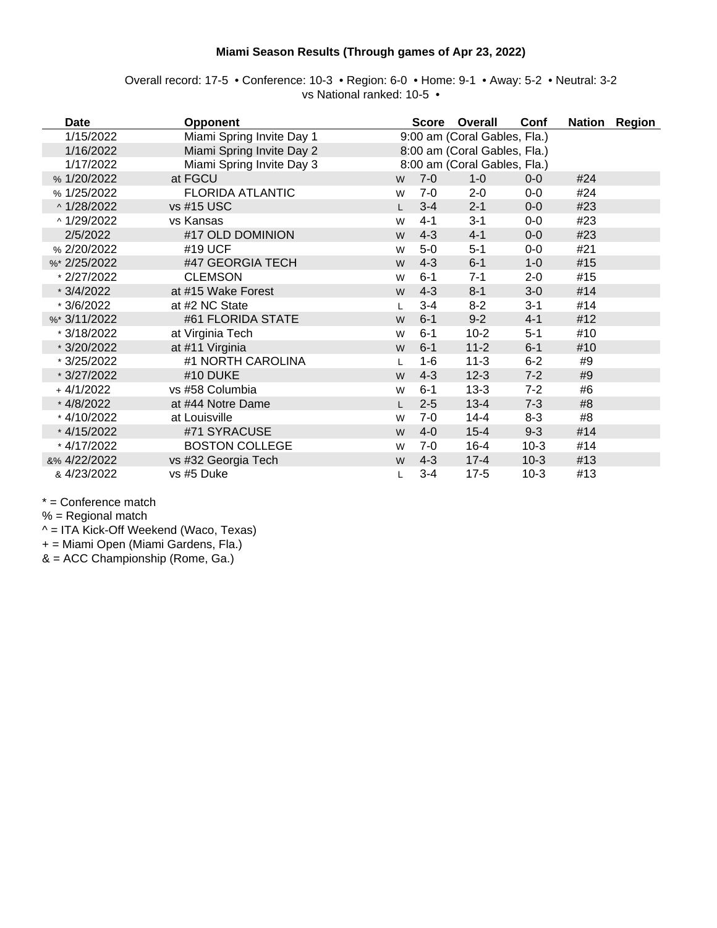### **Miami Season Results (Through games of Apr 23, 2022)**

|  | Overall record: 17-5 • Conference: 10-3 • Region: 6-0 • Home: 9-1 • Away: 5-2 • Neutral: 3-2 |                            |  |  |
|--|----------------------------------------------------------------------------------------------|----------------------------|--|--|
|  |                                                                                              | vs National ranked: 10-5 ● |  |  |

| Date          | <b>Opponent</b>           |   | <b>Score</b> | Overall                      | Conf    |     | Nation Region |
|---------------|---------------------------|---|--------------|------------------------------|---------|-----|---------------|
| 1/15/2022     | Miami Spring Invite Day 1 |   |              | 9:00 am (Coral Gables, Fla.) |         |     |               |
| 1/16/2022     | Miami Spring Invite Day 2 |   |              | 8:00 am (Coral Gables, Fla.) |         |     |               |
| 1/17/2022     | Miami Spring Invite Day 3 |   |              | 8:00 am (Coral Gables, Fla.) |         |     |               |
| % 1/20/2022   | at FGCU                   | W | $7 - 0$      | $1 - 0$                      | $0 - 0$ | #24 |               |
| % 1/25/2022   | <b>FLORIDA ATLANTIC</b>   | W | $7-0$        | $2 - 0$                      | $0-0$   | #24 |               |
| ^1/28/2022    | vs #15 USC                |   | $3 - 4$      | $2 - 1$                      | $0-0$   | #23 |               |
| ^1/29/2022    | vs Kansas                 | W | 4-1          | $3 - 1$                      | $0-0$   | #23 |               |
| 2/5/2022      | #17 OLD DOMINION          | W | $4 - 3$      | $4 - 1$                      | $0-0$   | #23 |               |
| % 2/20/2022   | #19 UCF                   | W | $5-0$        | $5 - 1$                      | $0-0$   | #21 |               |
| %* 2/25/2022  | #47 GEORGIA TECH          | W | $4 - 3$      | $6 - 1$                      | $1 - 0$ | #15 |               |
| * 2/27/2022   | <b>CLEMSON</b>            | W | $6 - 1$      | $7 - 1$                      | $2 - 0$ | #15 |               |
| $*3/4/2022$   | at #15 Wake Forest        | W | $4 - 3$      | $8 - 1$                      | $3-0$   | #14 |               |
| * 3/6/2022    | at #2 NC State            |   | $3 - 4$      | $8 - 2$                      | $3 - 1$ | #14 |               |
| %* 3/11/2022  | #61 FLORIDA STATE         | W | $6 - 1$      | $9 - 2$                      | $4 - 1$ | #12 |               |
| * 3/18/2022   | at Virginia Tech          | W | $6 - 1$      | $10-2$                       | $5 - 1$ | #10 |               |
| * 3/20/2022   | at #11 Virginia           | W | $6 - 1$      | $11 - 2$                     | $6 - 1$ | #10 |               |
| * 3/25/2022   | #1 NORTH CAROLINA         |   | $1 - 6$      | $11-3$                       | $6 - 2$ | #9  |               |
| * 3/27/2022   | #10 DUKE                  | W | $4 - 3$      | $12-3$                       | $7 - 2$ | #9  |               |
| +4/1/2022     | vs #58 Columbia           | W | $6 - 1$      | $13-3$                       | $7 - 2$ | #6  |               |
| * 4/8/2022    | at #44 Notre Dame         |   | $2 - 5$      | $13 - 4$                     | $7 - 3$ | #8  |               |
| * 4/10/2022   | at Louisville             | W | $7-0$        | $14 - 4$                     | $8 - 3$ | #8  |               |
| $*$ 4/15/2022 | #71 SYRACUSE              | W | $4 - 0$      | $15 - 4$                     | $9 - 3$ | #14 |               |
| * 4/17/2022   | <b>BOSTON COLLEGE</b>     | W | $7-0$        | $16 - 4$                     | $10-3$  | #14 |               |
| &% 4/22/2022  | vs #32 Georgia Tech       | W | $4 - 3$      | $17 - 4$                     | $10-3$  | #13 |               |
| & 4/23/2022   | vs #5 Duke                |   | $3 - 4$      | $17-5$                       | $10-3$  | #13 |               |

\* = Conference match

% = Regional match

^ = ITA Kick-Off Weekend (Waco, Texas)

+ = Miami Open (Miami Gardens, Fla.)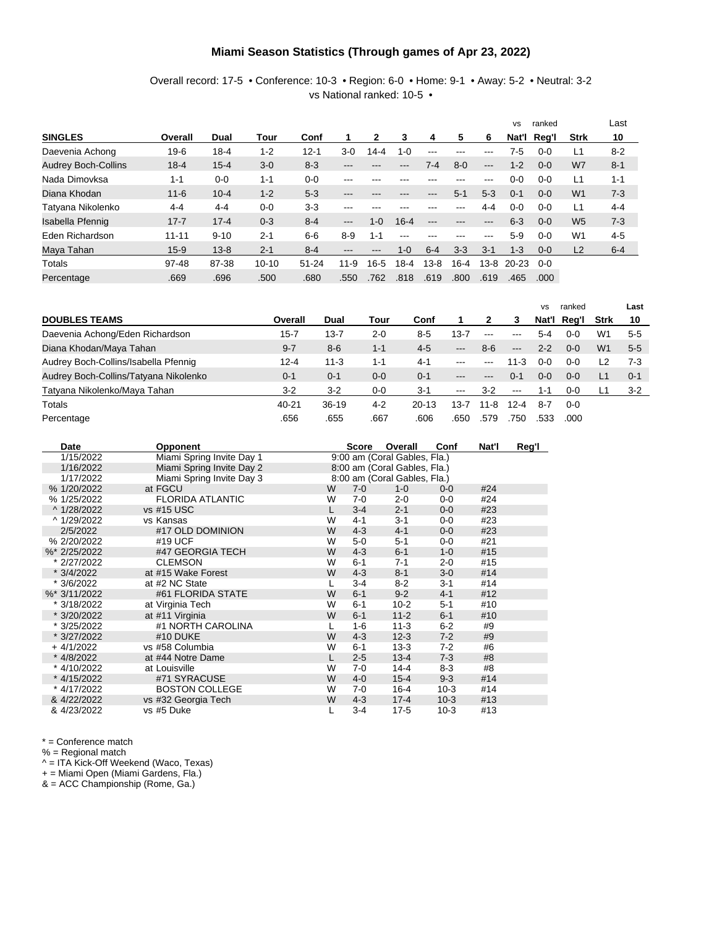#### **Miami Season Statistics (Through games of Apr 23, 2022)**

Overall record: 17-5 • Conference: 10-3 • Region: 6-0 • Home: 9-1 • Away: 5-2 • Neutral: 3-2 vs National ranked: 10-5 •

|                            |           |          |           |           |          |          |          |         |          |          | <b>VS</b> | ranked  |                | Last    |
|----------------------------|-----------|----------|-----------|-----------|----------|----------|----------|---------|----------|----------|-----------|---------|----------------|---------|
| <b>SINGLES</b>             | Overall   | Dual     | Tour      | Conf      |          |          | 3        | 4       | 5        | 6        | Nat'l     | Req'l   | <b>Strk</b>    | 10      |
| Daevenia Achong            | 19-6      | $18 - 4$ | $1 - 2$   | $12 - 1$  | 3-0      | $14-4$   | $1-0$    | ---     | ---      | ---      | 7-5       | $0 - 0$ | L1             | $8 - 2$ |
| <b>Audrey Boch-Collins</b> | $18 - 4$  | $15 - 4$ | $3-0$     | $8 - 3$   | ---      | ---      | ---      | $7-4$   | $8 - 0$  | $---$    | $1 - 2$   | $0 - 0$ | W7             | $8 - 1$ |
| Nada Dimovksa              | $1 - 1$   | $0 - 0$  | $1 - 1$   | $0 - 0$   | ---      | ---      |          |         | ---      | ---      | $0-0$     | $0 - 0$ | L1             | $1 - 1$ |
| Diana Khodan               | $11 - 6$  | $10 - 4$ | $1 - 2$   | $5 - 3$   | ---      | ---      | ---      | ---     | $5 - 1$  | $5-3$    | $0 - 1$   | $0 - 0$ | W <sub>1</sub> | $7 - 3$ |
| Tatyana Nikolenko          | 4-4       | $4 - 4$  | $0 - 0$   | $3-3$     | ---      | ---      |          |         | ---      | 4-4      | $0 - 0$   | $0 - 0$ | L1             | $4 - 4$ |
| Isabella Pfennig           | $17 - 7$  | $17 - 4$ | $0 - 3$   | $8 - 4$   | $---$    | $1-0$    | $16 - 4$ | ---     | ---      | ---      | $6 - 3$   | $0 - 0$ | W <sub>5</sub> | $7 - 3$ |
| Eden Richardson            | $11 - 11$ | $9 - 10$ | $2 - 1$   | $6-6$     | $8-9$    | $1 - 1$  | ---      | ---     | ---      | $---$    | $5-9$     | $0 - 0$ | W <sub>1</sub> | $4 - 5$ |
| Maya Tahan                 | $15-9$    | $13 - 8$ | $2 - 1$   | $8 - 4$   | ---      | ---      | $1-0$    | $6 - 4$ | $3-3$    | $3 - 1$  | $1 - 3$   | $0 - 0$ | L <sub>2</sub> | $6 - 4$ |
| Totals                     | 97-48     | 87-38    | $10 - 10$ | $51 - 24$ | $11 - 9$ | $16 - 5$ | $18 - 4$ | $3 - 8$ | $16 - 4$ | $13 - 8$ | $20 - 23$ | $0 - 0$ |                |         |
| Percentage                 | .669      | .696     | .500      | .680      | .550     | .762     | .818     | .619    | .800     | .619     | .465      | .000    |                |         |

|                                       |          |          |         |         |                   |         |         | <b>VS</b> | ranked      |                | Last    |
|---------------------------------------|----------|----------|---------|---------|-------------------|---------|---------|-----------|-------------|----------------|---------|
| <b>DOUBLES TEAMS</b>                  | Overall  | Dual     | Tour    | Conf    |                   |         | з       |           | Nat'l Rea'l | Strk           | 10      |
| Daevenia Achong/Eden Richardson       | $15 - 7$ | $13 - 7$ | $2 - 0$ | $8 - 5$ | 13-7              | ---     |         | $5 - 4$   | 0-0         | W1             | $5 - 5$ |
| Diana Khodan/Maya Tahan               | $9 - 7$  | $8 - 6$  | $1 - 1$ | $4-5$   | $---$             | $8-6$   | $---$   | $2 - 2$   | $0 - 0$     | W <sub>1</sub> | $5 - 5$ |
| Audrey Boch-Collins/Isabella Pfennig  | 12-4     | $11 - 3$ | 1-1     | $4 - 1$ | $\qquad \qquad -$ | $- - -$ | 11-3    | $0 - 0$   | $0 - 0$     | L2             | $7-3$   |
| Audrey Boch-Collins/Tatyana Nikolenko | $0 - 1$  | $0 - 1$  | $0 - 0$ | $0 - 1$ | $---$             | $---$   | $0 - 1$ | $0 - 0$   | $0 - 0$     |                | $0 - 1$ |
| Tatyana Nikolenko/Maya Tahan          | $3-2$    | $3-2$    | $0-0$   | $3 - 1$ | $---$             | $3-2$   | $---$   | 1-1       | $0 - 0$     |                | $3 - 2$ |
| Totals                                | 40-21    | $36-19$  | $4 - 2$ | 20-13   | 13-7              | 11-8    | 12-4    | 8-7       | $0 - 0$     |                |         |
| Percentage                            | .656     | .655     | .667    | .606    | .650              | .579    | .750    | .533      | .000        |                |         |

| Date         | <b>Opponent</b>           |   | <b>Score</b> | Overall                      | Conf    | Nat'l | Reg'l |
|--------------|---------------------------|---|--------------|------------------------------|---------|-------|-------|
| 1/15/2022    | Miami Spring Invite Day 1 |   |              | 9:00 am (Coral Gables, Fla.) |         |       |       |
| 1/16/2022    | Miami Spring Invite Day 2 |   |              | 8:00 am (Coral Gables, Fla.) |         |       |       |
| 1/17/2022    | Miami Spring Invite Day 3 |   |              | 8:00 am (Coral Gables, Fla.) |         |       |       |
| % 1/20/2022  | at FGCU                   | W | $7-0$        | $1 - 0$                      | $0-0$   | #24   |       |
| % 1/25/2022  | <b>FLORIDA ATLANTIC</b>   | W | $7-0$        | $2 - 0$                      | $0-0$   | #24   |       |
| ^ 1/28/2022  | vs #15 USC                |   | $3 - 4$      | $2 - 1$                      | $0-0$   | #23   |       |
| ^ 1/29/2022  | vs Kansas                 | W | 4-1          | $3 - 1$                      | $0-0$   | #23   |       |
| 2/5/2022     | #17 OLD DOMINION          | W | $4 - 3$      | $4 - 1$                      | $0 - 0$ | #23   |       |
| % 2/20/2022  | #19 UCF                   | W | $5-0$        | $5 - 1$                      | $0-0$   | #21   |       |
| %* 2/25/2022 | #47 GEORGIA TECH          | W | $4 - 3$      | $6 - 1$                      | $1 - 0$ | #15   |       |
| * 2/27/2022  | <b>CLEMSON</b>            | W | $6 - 1$      | $7 - 1$                      | $2 - 0$ | #15   |       |
| * 3/4/2022   | at #15 Wake Forest        | W | $4 - 3$      | $8 - 1$                      | $3-0$   | #14   |       |
| * 3/6/2022   | at #2 NC State            |   | $3 - 4$      | $8 - 2$                      | $3 - 1$ | #14   |       |
| %* 3/11/2022 | #61 FLORIDA STATE         | W | $6 - 1$      | $9 - 2$                      | $4 - 1$ | #12   |       |
| * 3/18/2022  | at Virginia Tech          | W | $6 - 1$      | $10 - 2$                     | $5 - 1$ | #10   |       |
| * 3/20/2022  | at #11 Virginia           | W | $6 - 1$      | $11 - 2$                     | $6 - 1$ | #10   |       |
| * 3/25/2022  | #1 NORTH CAROLINA         |   | $1 - 6$      | $11-3$                       | $6 - 2$ | #9    |       |
| * 3/27/2022  | #10 DUKE                  | W | $4 - 3$      | $12 - 3$                     | $7 - 2$ | #9    |       |
| $+4/1/2022$  | vs #58 Columbia           | W | $6 - 1$      | $13-3$                       | $7-2$   | #6    |       |
| * 4/8/2022   | at #44 Notre Dame         |   | $2 - 5$      | $13 - 4$                     | $7 - 3$ | #8    |       |
| * 4/10/2022  | at Louisville             | W | $7-0$        | $14 - 4$                     | $8 - 3$ | #8    |       |
| * 4/15/2022  | #71 SYRACUSE              | W | $4 - 0$      | $15 - 4$                     | $9 - 3$ | #14   |       |
| * 4/17/2022  | <b>BOSTON COLLEGE</b>     | W | $7-0$        | $16 - 4$                     | $10-3$  | #14   |       |
| & 4/22/2022  | vs #32 Georgia Tech       | W | $4 - 3$      | $17 - 4$                     | $10-3$  | #13   |       |
| & 4/23/2022  | vs #5 Duke                |   | $3 - 4$      | $17 - 5$                     | $10-3$  | #13   |       |

\* = Conference match

% = Regional match

^ = ITA Kick-Off Weekend (Waco, Texas)

+ = Miami Open (Miami Gardens, Fla.)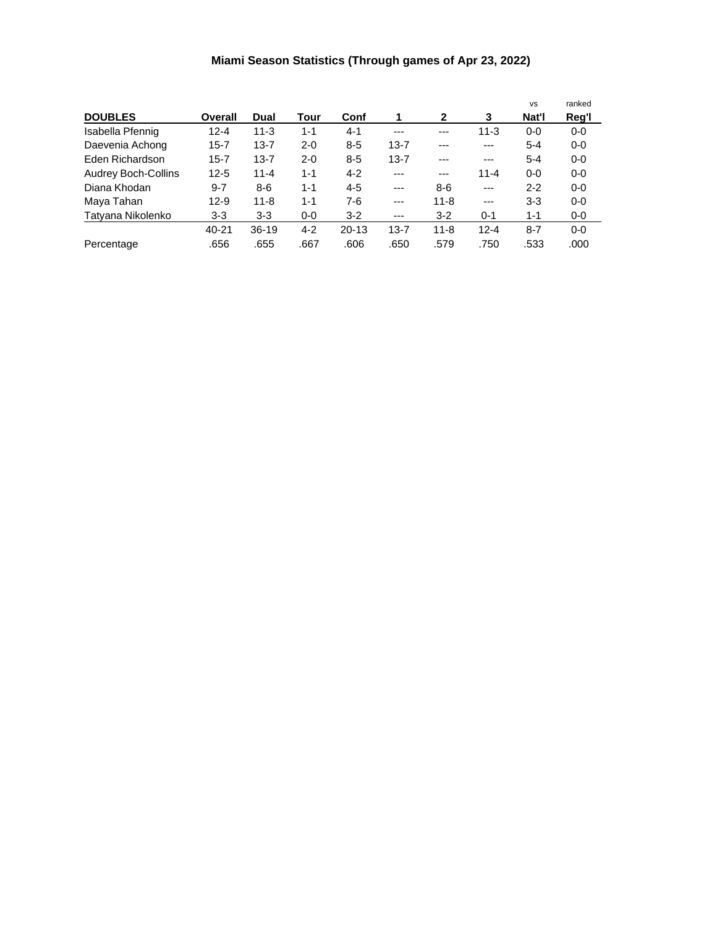# **Miami Season Statistics (Through games of Apr 23, 2022)**

|                            |          |          |         |           |          |              |          | <b>VS</b> | ranked  |
|----------------------------|----------|----------|---------|-----------|----------|--------------|----------|-----------|---------|
| <b>DOUBLES</b>             | Overall  | Dual     | Tour    | Conf      | 1        | $\mathbf{2}$ | 3        | Nat'l     | Reg'l   |
| Isabella Pfennig           | $12 - 4$ | $11 - 3$ | $1 - 1$ | $4 - 1$   | $---$    | $--$         | $11 - 3$ | $0-0$     | $0-0$   |
| Daevenia Achong            | $15 - 7$ | $13 - 7$ | $2 - 0$ | $8 - 5$   | $13 - 7$ | ---          | $---$    | $5 - 4$   | $0-0$   |
| Eden Richardson            | $15 - 7$ | $13 - 7$ | $2 - 0$ | $8 - 5$   | $13 - 7$ | ---          | $---$    | $5 - 4$   | $0-0$   |
| <b>Audrey Boch-Collins</b> | $12 - 5$ | $11 - 4$ | $1 - 1$ | $4 - 2$   | $---$    | $---$        | $11 - 4$ | $0 - 0$   | $0-0$   |
| Diana Khodan               | $9 - 7$  | $8-6$    | $1 - 1$ | $4 - 5$   | $---$    | $8-6$        | $---$    | $2 - 2$   | $0-0$   |
| Maya Tahan                 | $12 - 9$ | $11 - 8$ | $1 - 1$ | $7-6$     | $---$    | $11 - 8$     | $---$    | $3-3$     | $0 - 0$ |
| Tatyana Nikolenko          | $3-3$    | $3 - 3$  | $0 - 0$ | $3-2$     | ---      | $3 - 2$      | $0 - 1$  | $1 - 1$   | $0-0$   |
|                            | 40-21    | $36-19$  | $4 - 2$ | $20 - 13$ | $13 - 7$ | $11 - 8$     | $12 - 4$ | $8 - 7$   | $0-0$   |
| Percentage                 | .656     | .655     | .667    | .606      | .650     | .579         | .750     | .533      | .000    |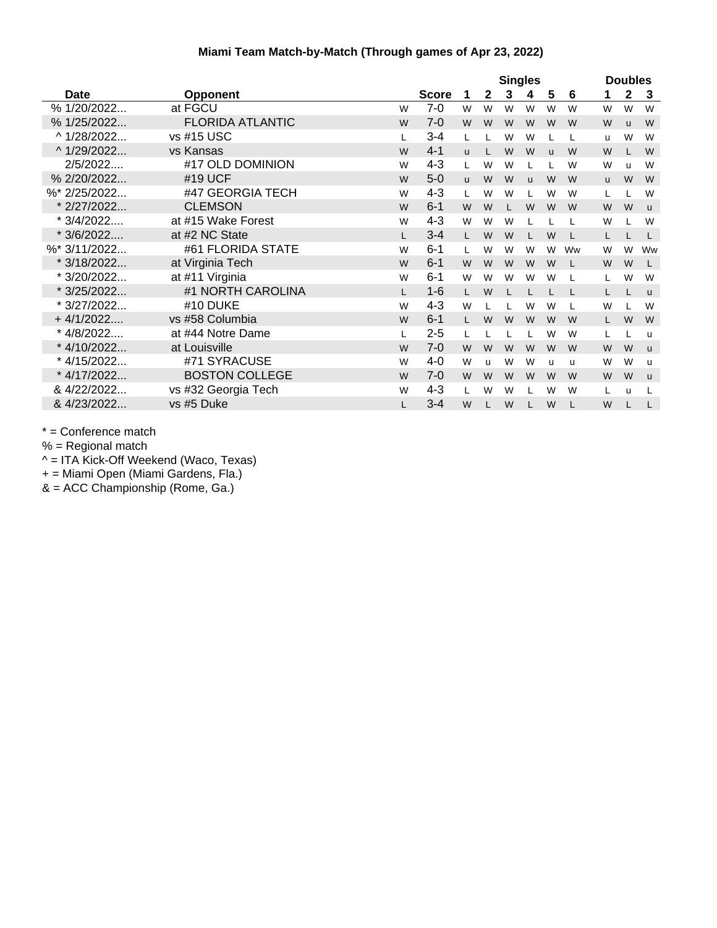#### **Miami Team Match-by-Match (Through games of Apr 23, 2022)**

|                   |                         |    | <b>Singles</b> |              |              |   |          |   | <b>Doubles</b> |          |          |              |
|-------------------|-------------------------|----|----------------|--------------|--------------|---|----------|---|----------------|----------|----------|--------------|
| Date              | <b>Opponent</b>         |    | <b>Score</b>   | 1            | $\mathbf{2}$ | 3 | 4        | 5 | 6              | 1        | 2        | 3            |
| % 1/20/2022       | at FGCU                 | W  | $7 - 0$        | W            | W            | W | W        | W | W              | W        | W        | W            |
| % 1/25/2022       | <b>FLORIDA ATLANTIC</b> | W  | $7 - 0$        | W            | W            | W | W        | W | W              | W        | <b>u</b> | W            |
| $\land$ 1/28/2022 | vs #15 USC              |    | $3 - 4$        | L            |              | W | W        | L |                | u        | W        | W            |
| $\land$ 1/29/2022 | vs Kansas               | W  | $4 - 1$        | $\mathbf{u}$ |              | W | W        | u | W              | W        |          | W            |
| 2/5/2022          | #17 OLD DOMINION        | W  | $4 - 3$        | L            | W            | W |          | L | W              | W        | u        | W            |
| % 2/20/2022       | #19 UCF                 | W  | $5-0$          | <b>u</b>     | W            | W | <b>u</b> | W | W              | <b>u</b> | W        | W            |
| %* 2/25/2022      | #47 GEORGIA TECH        | W  | $4 - 3$        | L            | W            | W |          | W | W              | L        |          | W            |
| * 2/27/2022       | <b>CLEMSON</b>          | W  | $6 - 1$        | W            | W            |   | W        | W | W              | W        | W        | $\mathbf{u}$ |
| * 3/4/2022        | at #15 Wake Forest      | W  | $4 - 3$        | W            | W            | W |          |   |                | W        |          | W            |
| * 3/6/2022        | at #2 NC State          | L  | $3 - 4$        | L            | W            | W |          | W |                | L        |          |              |
| %* 3/11/2022      | #61 FLORIDA STATE       | W  | $6 - 1$        | L            | W            | W | W        | W | Ww             | W        | W        | Ww           |
| * 3/18/2022       | at Virginia Tech        | W  | $6 - 1$        | W            | W            | W | W        | W |                | W        | W        | L            |
| * 3/20/2022       | at #11 Virginia         | W  | $6 - 1$        | W            | W            | W | W        | W |                | L        | W        | W            |
| * 3/25/2022       | #1 NORTH CAROLINA       | L. | $1 - 6$        | L.           | W            | L |          | L |                | L.       |          | $\mathsf{u}$ |
| * 3/27/2022       | #10 DUKE                | W  | $4 - 3$        | W            |              |   | W        | W |                | W        |          | W            |
| $+4/1/2022$       | vs #58 Columbia         | W  | $6 - 1$        | L.           | W            | W | W        | W | W              | L.       | W        | W            |
| * 4/8/2022        | at #44 Notre Dame       | L  | $2 - 5$        | L            |              |   |          | W | W              | L        |          | <b>u</b>     |
| * 4/10/2022       | at Louisville           | W  | $7 - 0$        | W            | W            | W | W        | W | W              | W        | W        | $\mathsf{u}$ |
| * 4/15/2022       | #71 SYRACUSE            | W  | 4-0            | W            | u            | W | W        | u | u              | W        | W        | u            |
| * 4/17/2022       | <b>BOSTON COLLEGE</b>   | W  | $7 - 0$        | W            | W            | W | W        | W | W              | W        | W        | u            |
| & 4/22/2022       | vs #32 Georgia Tech     | W  | $4 - 3$        | L            | W            | W |          | W | W              | L        | u        | L            |
| & 4/23/2022       | vs #5 Duke              | L  | $3 - 4$        | W            |              | W |          | W | L              | W        |          | L            |

\* = Conference match

% = Regional match

^ = ITA Kick-Off Weekend (Waco, Texas)

+ = Miami Open (Miami Gardens, Fla.)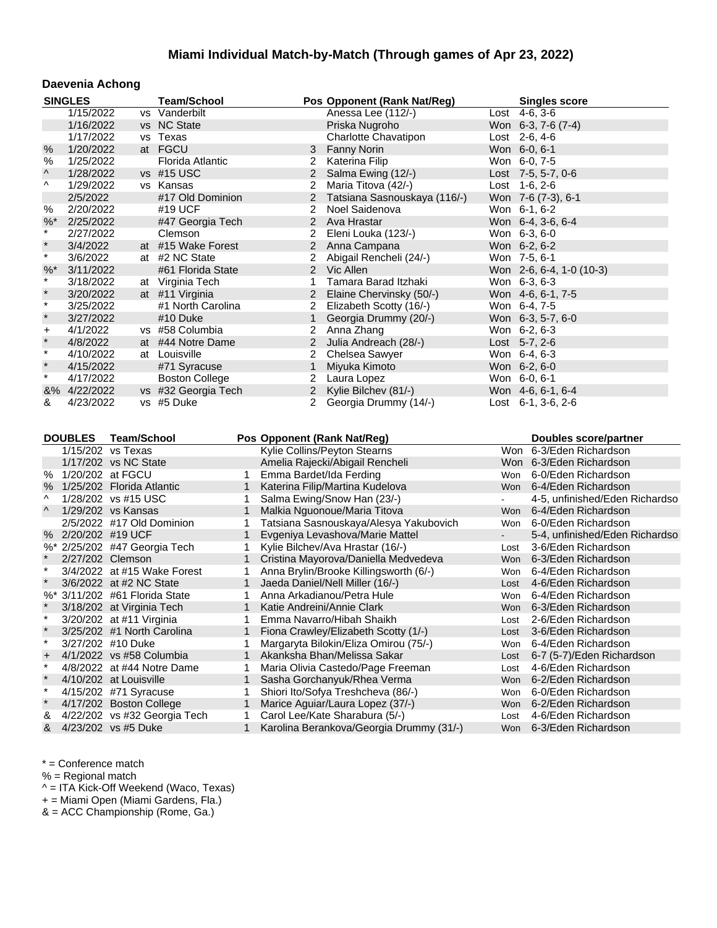#### **Daevenia Achong**

|                       | <b>SINGLES</b>                                   |                    | <b>Team/School</b>           |              | Pos Opponent (Rank Nat/Reg)                                            |                |     | <b>Singles score</b>                                    |
|-----------------------|--------------------------------------------------|--------------------|------------------------------|--------------|------------------------------------------------------------------------|----------------|-----|---------------------------------------------------------|
|                       | 1/15/2022                                        |                    | vs Vanderbilt                |              | Anessa Lee (112/-)                                                     |                |     | Lost 4-6, 3-6                                           |
|                       | 1/16/2022                                        |                    | vs NC State                  |              | Priska Nugroho                                                         |                |     | Won 6-3, 7-6 (7-4)                                      |
|                       | 1/17/2022                                        |                    | vs Texas                     |              | Charlotte Chavatipon                                                   |                |     | Lost 2-6, 4-6                                           |
| $\%$                  | 1/20/2022                                        |                    | at FGCU                      |              | <b>Fanny Norin</b><br>3                                                | Won 6-0, 6-1   |     |                                                         |
| $\%$                  | 1/25/2022                                        |                    | Florida Atlantic             |              | 2<br>Katerina Filip                                                    | Won 6-0, 7-5   |     |                                                         |
| ۸                     | 1/28/2022                                        |                    | vs #15 USC                   |              | $\overline{2}$<br>Salma Ewing (12/-)                                   |                |     | Lost 7-5, 5-7, 0-6                                      |
| ۸                     | 1/29/2022                                        |                    | vs Kansas                    |              | 2<br>Maria Titova (42/-)                                               |                |     | Lost 1-6, 2-6                                           |
|                       | 2/5/2022                                         |                    | #17 Old Dominion             |              | 2<br>Tatsiana Sasnouskaya (116/-)                                      |                |     | Won 7-6 (7-3), 6-1                                      |
| %                     | 2/20/2022                                        |                    | #19 UCF                      |              | 2<br>Noel Saidenova                                                    |                |     | Won 6-1, 6-2                                            |
| $%$ *                 | 2/25/2022                                        |                    | #47 Georgia Tech             |              | $\overline{2}$<br>Ava Hrastar                                          |                |     | Won 6-4, 3-6, 6-4                                       |
| $\star$               | 2/27/2022                                        |                    | Clemson                      |              | 2<br>Eleni Louka (123/-)                                               |                |     | Won 6-3, 6-0                                            |
| $\star$               | 3/4/2022                                         |                    | at #15 Wake Forest           |              | $\overline{c}$<br>Anna Campana                                         |                |     | Won 6-2, 6-2                                            |
| $\star$               | 3/6/2022                                         |                    | at #2 NC State               |              | 2<br>Abigail Rencheli (24/-)                                           | Won 7-5, 6-1   |     |                                                         |
| %                     | 3/11/2022                                        |                    | #61 Florida State            |              | $\overline{2}$<br>Vic Allen                                            |                |     | Won 2-6, 6-4, 1-0 (10-3)                                |
| $^\star$              | 3/18/2022                                        |                    | at Virginia Tech             |              | Tamara Barad Itzhaki<br>1                                              | Won 6-3, 6-3   |     |                                                         |
| $\star$               | 3/20/2022                                        |                    | at #11 Virginia              |              | 2<br>Elaine Chervinsky (50/-)                                          |                |     | Won 4-6, 6-1, 7-5                                       |
| $\star$               | 3/25/2022                                        |                    | #1 North Carolina            |              | $\overline{2}$<br>Elizabeth Scotty (16/-)                              | Won 6-4, 7-5   |     |                                                         |
| $\star$               | 3/27/2022                                        |                    | #10 Duke                     |              | $\mathbf{1}$<br>Georgia Drummy (20/-)                                  |                |     | Won 6-3, 5-7, 6-0                                       |
| +                     | 4/1/2022                                         |                    | vs #58 Columbia              |              | 2<br>Anna Zhang                                                        |                |     | Won 6-2, 6-3                                            |
| $\star$               | 4/8/2022                                         |                    | at #44 Notre Dame            |              | $\overline{c}$<br>Julia Andreach (28/-)                                |                |     | Lost 5-7, 2-6                                           |
| $\star$               | 4/10/2022                                        |                    | at Louisville                |              | Chelsea Sawyer<br>$\overline{2}$                                       |                |     | Won 6-4, 6-3                                            |
| $\star$               | 4/15/2022                                        |                    | #71 Syracuse                 |              | $\mathbf{1}$<br>Miyuka Kimoto                                          |                |     | Won 6-2, 6-0                                            |
| $\star$               | 4/17/2022                                        |                    | <b>Boston College</b>        |              | Laura Lopez<br>$\overline{2}$                                          | Won 6-0, 6-1   |     |                                                         |
|                       | &% 4/22/2022                                     |                    | vs #32 Georgia Tech          |              | 2 <sup>7</sup><br>Kylie Bilchev (81/-)                                 |                |     | Won 4-6, 6-1, 6-4                                       |
| &                     | 4/23/2022                                        |                    | vs #5 Duke                   |              | 2<br>Georgia Drummy (14/-)                                             |                |     | Lost $6-1$ , $3-6$ , $2-6$                              |
|                       | <b>DOUBLES</b><br>1/15/202 vs Texas              | <b>Team/School</b> |                              |              | Pos Opponent (Rank Nat/Reg)<br>Kylie Collins/Peyton Stearns            |                |     | <b>Doubles score/partner</b><br>Won 6-3/Eden Richardson |
|                       | 1/17/202 vs NC State                             |                    |                              |              | Amelia Rajecki/Abigail Rencheli                                        |                |     | Won 6-3/Eden Richardson                                 |
| %                     | 1/20/202 at FGCU                                 |                    |                              | 1.           | Emma Bardet/Ida Ferding                                                | Won            |     | 6-0/Eden Richardson                                     |
| $\frac{0}{0}$         | 1/25/202 Florida Atlantic                        |                    |                              | 1            | Katerina Filip/Martina Kudelova                                        |                | Won | 6-4/Eden Richardson                                     |
| ۸                     | 1/28/202 vs #15 USC                              |                    |                              | 1            | Salma Ewing/Snow Han (23/-)                                            | $\mathbf{r}$   |     | 4-5, unfinished/Eden Richardso                          |
| $\boldsymbol{\wedge}$ | 1/29/202 vs Kansas                               |                    |                              | $\mathbf{1}$ | Malkia Nguonoue/Maria Titova                                           |                |     | Won 6-4/Eden Richardson                                 |
|                       | 2/5/2022 #17 Old Dominion                        |                    |                              | 1            | Tatsiana Sasnouskaya/Alesya Yakubovich                                 | Won            |     | 6-0/Eden Richardson                                     |
| %                     | 2/20/202 #19 UCF                                 |                    |                              | 1            | Evgeniya Levashova/Marie Mattel                                        | $\blacksquare$ |     | 5-4, unfinished/Eden Richardso                          |
|                       | %* 2/25/202 #47 Georgia Tech                     |                    |                              | 1            | Kylie Bilchev/Ava Hrastar (16/-)                                       | Lost           |     | 3-6/Eden Richardson                                     |
| $\star$               | 2/27/202 Clemson                                 |                    |                              | $\mathbf{1}$ | Cristina Mayorova/Daniella Medvedeva                                   | Won            |     | 6-3/Eden Richardson                                     |
| $\star$               |                                                  |                    | 3/4/2022 at #15 Wake Forest  | 1            | Anna Brylin/Brooke Killingsworth (6/-)                                 | Won            |     | 6-4/Eden Richardson                                     |
| $\star$               | 3/6/2022 at #2 NC State                          |                    |                              | $\mathbf{1}$ | Jaeda Daniel/Nell Miller (16/-)                                        | Lost           |     | 4-6/Eden Richardson                                     |
|                       | %* 3/11/202 #61 Florida State                    |                    |                              | 1            | Anna Arkadianou/Petra Hule                                             |                | Won | 6-4/Eden Richardson                                     |
| $\star$               | 3/18/202 at Virginia Tech                        |                    |                              | 1            | Katie Andreini/Annie Clark                                             |                |     | Won 6-3/Eden Richardson                                 |
|                       | 3/20/202 at #11 Virginia                         |                    |                              |              | Emma Navarro/Hibah Shaikh                                              | Lost           |     | 2-6/Eden Richardson                                     |
| $\star$               | 3/25/202 #1 North Carolina                       |                    |                              | 1            | Fiona Crawley/Elizabeth Scotty (1/-)                                   | Lost           |     | 3-6/Eden Richardson                                     |
| $\star$               | 3/27/202 #10 Duke                                |                    |                              | 1            | Margaryta Bilokin/Eliza Omirou (75/-)                                  | Won            |     | 6-4/Eden Richardson                                     |
| $\ddot{}$             | 4/1/2022 vs #58 Columbia                         |                    |                              | 1            | Akanksha Bhan/Melissa Sakar                                            | Lost           |     | 6-7 (5-7)/Eden Richardson                               |
| $\star$               | 4/8/2022 at #44 Notre Dame                       |                    |                              | 1            | Maria Olivia Castedo/Page Freeman                                      | Lost           |     | 4-6/Eden Richardson                                     |
| $\star$               | 4/10/202 at Louisville                           |                    |                              | 1            | Sasha Gorchanyuk/Rhea Verma                                            | Won            |     | 6-2/Eden Richardson                                     |
| $\ast$                |                                                  |                    |                              |              |                                                                        |                |     | 6-0/Eden Richardson                                     |
| $\ast$                | 4/15/202 #71 Syracuse<br>4/17/202 Boston College |                    |                              | 1<br>1       | Shiori Ito/Sofya Treshcheva (86/-)<br>Marice Aguiar/Laura Lopez (37/-) | Won            |     | 6-2/Eden Richardson                                     |
| &                     |                                                  |                    | 4/22/202 vs #32 Georgia Tech | 1            | Carol Lee/Kate Sharabura (5/-)                                         | Won<br>Lost    |     | 4-6/Eden Richardson                                     |
| &                     |                                                  |                    |                              |              | Karolina Berankova/Georgia Drummy (31/-)                               |                |     |                                                         |
|                       | 4/23/202 vs #5 Duke                              |                    |                              | 1            |                                                                        | Won            |     | 6-3/Eden Richardson                                     |

\* = Conference match

% = Regional match

^ = ITA Kick-Off Weekend (Waco, Texas)

+ = Miami Open (Miami Gardens, Fla.)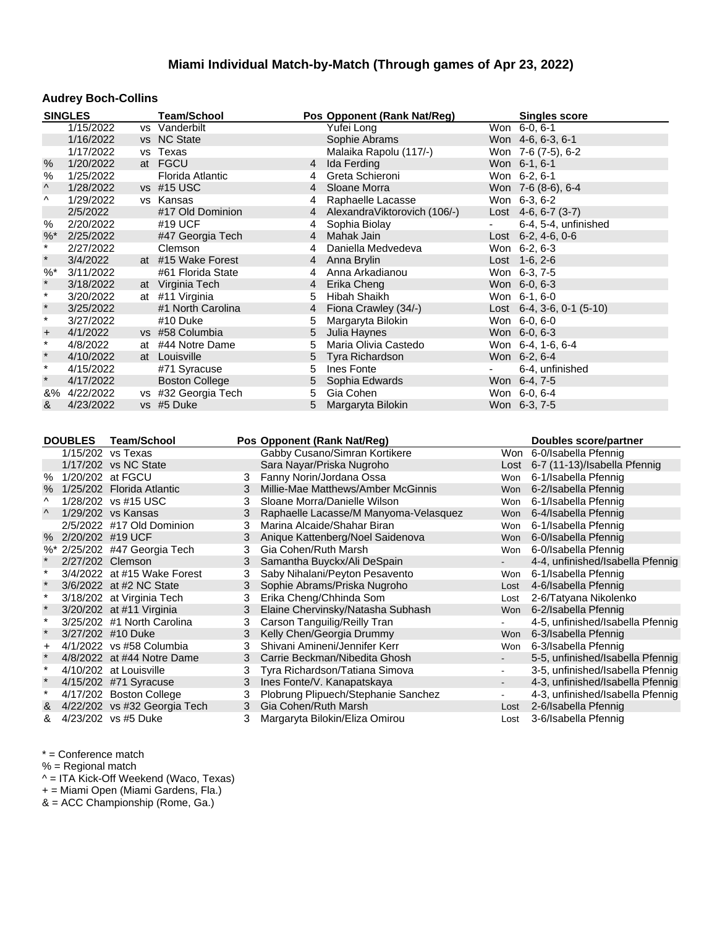### **Audrey Boch-Collins**

|              | <b>SINGLES</b>     |                                                        | <b>Team/School</b>           |   | Pos Opponent (Rank Nat/Reg)                                          |                          | <b>Singles score</b>                                                 |
|--------------|--------------------|--------------------------------------------------------|------------------------------|---|----------------------------------------------------------------------|--------------------------|----------------------------------------------------------------------|
|              | 1/15/2022          |                                                        | vs Vanderbilt                |   | Yufei Long                                                           |                          | Won 6-0, 6-1                                                         |
|              | 1/16/2022          |                                                        | vs NC State                  |   | Sophie Abrams                                                        |                          | Won 4-6, 6-3, 6-1                                                    |
|              | 1/17/2022          |                                                        | vs Texas                     |   | Malaika Rapolu (117/-)                                               |                          | Won 7-6 (7-5), 6-2                                                   |
| %            | 1/20/2022          |                                                        | at FGCU                      |   | Ida Ferding<br>4                                                     |                          | Won 6-1, 6-1                                                         |
| %            | 1/25/2022          |                                                        | Florida Atlantic             |   | Greta Schieroni<br>4                                                 |                          | Won 6-2, 6-1                                                         |
| ۸            | 1/28/2022          |                                                        | vs #15 USC                   |   | Sloane Morra<br>4                                                    |                          | Won 7-6 (8-6), 6-4                                                   |
| Λ            | 1/29/2022          |                                                        | vs Kansas                    |   | Raphaelle Lacasse<br>4                                               |                          | Won 6-3, 6-2                                                         |
|              | 2/5/2022           |                                                        | #17 Old Dominion             |   | AlexandraViktorovich (106/-)<br>4                                    |                          | Lost $4-6, 6-7$ (3-7)                                                |
| %            | 2/20/2022          |                                                        | #19 UCF                      |   | Sophia Biolay<br>4                                                   | $\overline{\phantom{a}}$ | 6-4, 5-4, unfinished                                                 |
| $\%$         | 2/25/2022          |                                                        | #47 Georgia Tech             |   | Mahak Jain<br>$\overline{4}$                                         |                          | Lost $6-2, 4-6, 0-6$                                                 |
| $\star$      | 2/27/2022          |                                                        | Clemson                      |   | Daniella Medvedeva<br>4                                              |                          | Won 6-2, 6-3                                                         |
| $\star$      | 3/4/2022           |                                                        | at #15 Wake Forest           |   | $\overline{4}$<br>Anna Brylin                                        |                          | Lost 1-6, 2-6                                                        |
| $\%$         | 3/11/2022          |                                                        | #61 Florida State            |   | Anna Arkadianou<br>4                                                 |                          | Won 6-3, 7-5                                                         |
| $\star$      | 3/18/2022          |                                                        | at Virginia Tech             |   | Erika Cheng<br>$\overline{4}$                                        |                          | Won 6-0, 6-3                                                         |
| $\star$      | 3/20/2022          |                                                        | at #11 Virginia              |   | Hibah Shaikh<br>5                                                    |                          | Won 6-1, 6-0                                                         |
| $\pmb{\ast}$ | 3/25/2022          |                                                        | #1 North Carolina            |   | Fiona Crawley (34/-)<br>4                                            |                          | Lost $6-4$ , $3-6$ , $0-1$ $(5-10)$                                  |
| $\star$      | 3/27/2022          |                                                        | #10 Duke                     |   | 5<br>Margaryta Bilokin                                               |                          | Won 6-0, 6-0                                                         |
| $\ddot{}$    | 4/1/2022           |                                                        | vs #58 Columbia              |   | 5<br>Julia Haynes                                                    |                          | Won 6-0, 6-3                                                         |
| $\star$      | 4/8/2022           | at                                                     | #44 Notre Dame               |   | Maria Olivia Castedo<br>5                                            |                          | Won 6-4, 1-6, 6-4                                                    |
| $\ast$       | 4/10/2022          |                                                        | at Louisville                |   | 5<br>Tyra Richardson                                                 |                          | Won 6-2, 6-4                                                         |
| $\star$      | 4/15/2022          |                                                        | #71 Syracuse                 |   | Ines Fonte<br>5                                                      |                          | 6-4, unfinished                                                      |
| $\star$      | 4/17/2022          |                                                        | <b>Boston College</b>        |   | 5<br>Sophia Edwards                                                  |                          | Won 6-4, 7-5                                                         |
|              | &% 4/22/2022       |                                                        | vs #32 Georgia Tech          |   | Gia Cohen<br>5                                                       |                          | Won 6-0, 6-4                                                         |
| &            | 4/23/2022          |                                                        | vs #5 Duke                   |   | 5<br>Margaryta Bilokin                                               |                          | Won 6-3, 7-5                                                         |
|              |                    |                                                        |                              |   |                                                                      |                          |                                                                      |
|              |                    |                                                        |                              |   |                                                                      |                          |                                                                      |
|              | <b>DOUBLES</b>     | <b>Team/School</b>                                     |                              |   | Pos Opponent (Rank Nat/Reg)                                          |                          | <b>Doubles score/partner</b>                                         |
|              |                    | 1/15/202 vs Texas<br>1/17/202 vs NC State              |                              |   | Gabby Cusano/Simran Kortikere                                        |                          | Won 6-0/Isabella Pfennig                                             |
|              | % 1/20/202 at FGCU |                                                        |                              | 3 | Sara Nayar/Priska Nugroho                                            |                          | Lost 6-7 (11-13)/Isabella Pfennig                                    |
| $\%$         |                    | 1/25/202 Florida Atlantic                              |                              | 3 | Fanny Norin/Jordana Ossa<br>Millie-Mae Matthews/Amber McGinnis       |                          | Won 6-1/Isabella Pfennig<br>Won 6-2/Isabella Pfennig                 |
| ۸            |                    | 1/28/202 vs #15 USC                                    |                              | 3 | Sloane Morra/Danielle Wilson                                         |                          | Won 6-1/Isabella Pfennig                                             |
| ۸            |                    | 1/29/202 vs Kansas                                     |                              | 3 |                                                                      |                          | Won 6-4/Isabella Pfennig                                             |
|              |                    | 2/5/2022 #17 Old Dominion                              |                              | 3 | Raphaelle Lacasse/M Manyoma-Velasquez<br>Marina Alcaide/Shahar Biran | Won                      |                                                                      |
|              |                    |                                                        |                              | 3 |                                                                      | Won                      | 6-1/Isabella Pfennig                                                 |
|              |                    | % 2/20/202 #19 UCF                                     |                              | 3 | Anique Kattenberg/Noel Saidenova<br>Gia Cohen/Ruth Marsh             |                          | 6-0/Isabella Pfennig<br>Won 6-0/Isabella Pfennig                     |
| $\star$      | 2/27/202 Clemson   | %* 2/25/202 #47 Georgia Tech                           |                              | 3 |                                                                      | $\blacksquare$           |                                                                      |
| $\ast$       |                    |                                                        | 3/4/2022 at #15 Wake Forest  | 3 | Samantha Buyckx/Ali DeSpain                                          |                          | 4-4, unfinished/Isabella Pfennig                                     |
| $\star$      |                    | 3/6/2022 at #2 NC State                                |                              | 3 | Saby Nihalani/Peyton Pesavento                                       |                          | Won 6-1/Isabella Pfennig                                             |
| $\star$      |                    |                                                        |                              | 3 | Sophie Abrams/Priska Nugroho                                         | Lost                     | Lost 4-6/Isabella Pfennig                                            |
|              |                    | 3/18/202 at Virginia Tech                              |                              | 3 | Erika Cheng/Chhinda Som                                              | Won                      | 2-6/Tatyana Nikolenko                                                |
| $\star$      |                    | 3/20/202 at #11 Virginia<br>3/25/202 #1 North Carolina |                              | 3 | Elaine Chervinsky/Natasha Subhash                                    |                          | 6-2/Isabella Pfennig                                                 |
|              |                    |                                                        |                              |   | Carson Tanguilig/Reilly Tran                                         |                          | 4-5, unfinished/Isabella Pfennig                                     |
| $\ddot{}$    |                    | 3/27/202 #10 Duke<br>4/1/2022 vs #58 Columbia          |                              | 3 | 3 Kelly Chen/Georgia Drummy<br>Shivani Amineni/Jennifer Kerr         |                          | Won 6-3/Isabella Pfennig                                             |
|              |                    |                                                        | 4/8/2022 at #44 Notre Dame   | 3 | Carrie Beckman/Nibedita Ghosh                                        |                          | Won 6-3/Isabella Pfennig                                             |
| $\ast$       |                    | 4/10/202 at Louisville                                 |                              | 3 |                                                                      | $\blacksquare$           | 5-5, unfinished/Isabella Pfennig                                     |
| $\ast$       |                    |                                                        |                              | 3 | Tyra Richardson/Tatiana Simova                                       | $\overline{\phantom{0}}$ | 3-5, unfinished/Isabella Pfennig<br>4-3, unfinished/Isabella Pfennig |
| $\ast$       |                    | 4/15/202 #71 Syracuse<br>4/17/202 Boston College       |                              | 3 | Ines Fonte/V. Kanapatskaya                                           | $\overline{\phantom{0}}$ |                                                                      |
| &            |                    |                                                        | 4/22/202 vs #32 Georgia Tech | 3 | Plobrung Plipuech/Stephanie Sanchez<br>Gia Cohen/Ruth Marsh          | Lost                     | 4-3, unfinished/Isabella Pfennig<br>2-6/Isabella Pfennig             |

\* = Conference match

% = Regional match

^ = ITA Kick-Off Weekend (Waco, Texas)

+ = Miami Open (Miami Gardens, Fla.)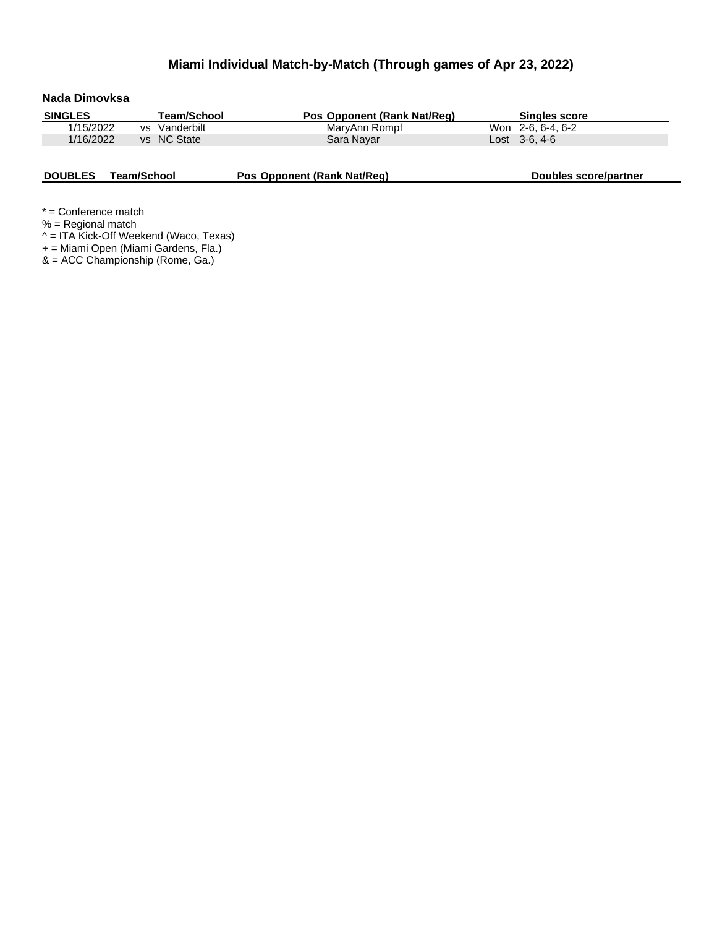| Nada Dimovksa  |                    |                             |                       |
|----------------|--------------------|-----------------------------|-----------------------|
| <b>SINGLES</b> | <b>Team/School</b> | Pos Opponent (Rank Nat/Req) | <b>Singles score</b>  |
| 1/15/2022      | Vanderbilt<br>VS.  | MaryAnn Rompf               | Won 2-6, 6-4, 6-2     |
| 1/16/2022      | vs NC State        | Sara Nayar                  | $Last \, 3-6.4-6$     |
|                |                    |                             |                       |
| <b>DOUBLES</b> | Team/School        | Pos Opponent (Rank Nat/Req) | Doubles score/partner |

\* = Conference match

% = Regional match

^ = ITA Kick-Off Weekend (Waco, Texas)

+ = Miami Open (Miami Gardens, Fla.)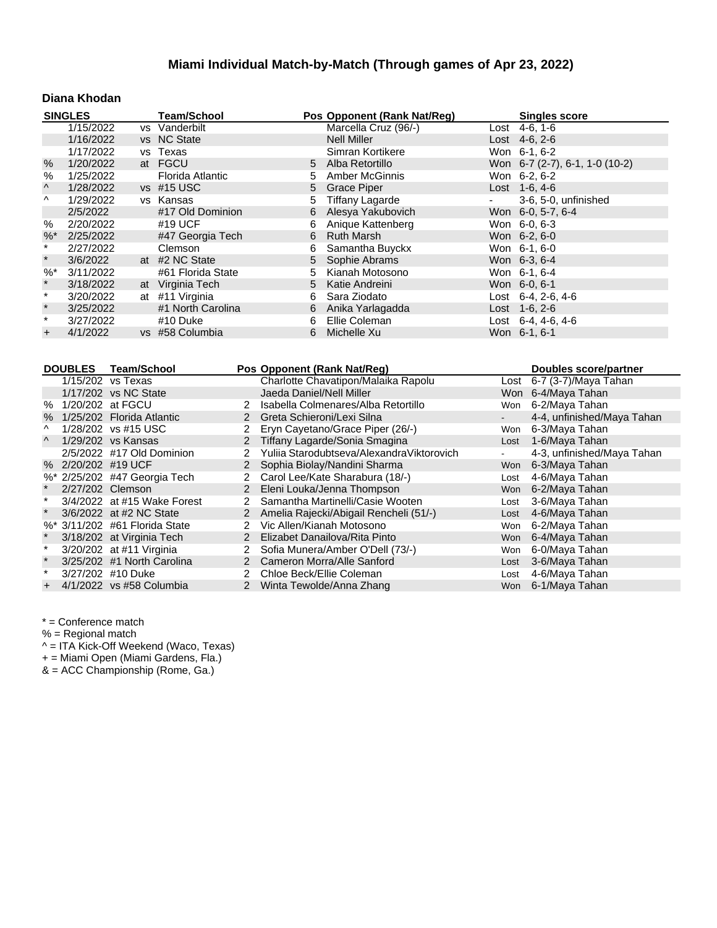### **Diana Khodan**

|                       | <b>SINGLES</b> | <b>Team/School</b> |    | Pos Opponent (Rank Nat/Reg) | <b>Singles score</b>           |
|-----------------------|----------------|--------------------|----|-----------------------------|--------------------------------|
|                       | 1/15/2022      | vs Vanderbilt      |    | Marcella Cruz (96/-)        | Lost 4-6, 1-6                  |
|                       | 1/16/2022      | vs NC State        |    | <b>Nell Miller</b>          | Lost 4-6, 2-6                  |
|                       | 1/17/2022      | vs Texas           |    | Simran Kortikere            | Won 6-1, 6-2                   |
| $\%$                  | 1/20/2022      | at FGCU            |    | 5 Alba Retortillo           | Won 6-7 (2-7), 6-1, 1-0 (10-2) |
| %                     | 1/25/2022      | Florida Atlantic   | 5. | <b>Amber McGinnis</b>       | Won 6-2, 6-2                   |
| $\boldsymbol{\wedge}$ | 1/28/2022      | vs #15 USC         |    | 5 Grace Piper               | Lost 1-6, 4-6                  |
| $\wedge$              | 1/29/2022      | vs Kansas          | 5. | <b>Tiffany Lagarde</b>      | 3-6, 5-0, unfinished           |
|                       | 2/5/2022       | #17 Old Dominion   | 6  | Alesya Yakubovich           | Won 6-0, 5-7, 6-4              |
| %                     | 2/20/2022      | #19 UCF            | 6  | Anique Kattenberg           | Won 6-0, 6-3                   |
| $\%$ <sup>*</sup>     | 2/25/2022      | #47 Georgia Tech   | 6  | <b>Ruth Marsh</b>           | Won 6-2, 6-0                   |
| $\ast$                | 2/27/2022      | Clemson            | 6  | Samantha Buyckx             | Won 6-1, 6-0                   |
| $^{\star}$            | 3/6/2022       | at #2 NC State     |    | 5 Sophie Abrams             | Won 6-3, 6-4                   |
| $\%^*$                | 3/11/2022      | #61 Florida State  | 5. | Kianah Motosono             | Won 6-1, 6-4                   |
| $^{\star}$            | 3/18/2022      | at Virginia Tech   | 5  | Katie Andreini              | Won 6-0, 6-1                   |
| $\star$               | 3/20/2022      | at #11 Virginia    | 6  | Sara Ziodato                | Lost $6-4$ , 2-6, 4-6          |
| $^{\star}$            | 3/25/2022      | #1 North Carolina  | 6  | Anika Yarlagadda            | Lost 1-6, 2-6                  |
| $\star$               | 3/27/2022      | #10 Duke           | 6  | Ellie Coleman               | Lost $6-4, 4-6, 4-6$           |
| $+$                   | 4/1/2022       | vs #58 Columbia    | 6  | Michelle Xu                 | Won 6-1, 6-1                   |

|          | <b>DOUBLES</b>     | <b>Team/School</b>            |               | Pos Opponent (Rank Nat/Req)               |      | Doubles score/partner      |
|----------|--------------------|-------------------------------|---------------|-------------------------------------------|------|----------------------------|
|          |                    | 1/15/202 vs Texas             |               | Charlotte Chavatipon/Malaika Rapolu       |      | Lost 6-7 (3-7)/Maya Tahan  |
|          |                    | 1/17/202 vs NC State          |               | Jaeda Daniel/Nell Miller                  |      | Won 6-4/Maya Tahan         |
| %        |                    | 1/20/202 at FGCU              | $\mathcal{P}$ | Isabella Colmenares/Alba Retortillo       |      | Won 6-2/Maya Tahan         |
| $\%$     |                    | 1/25/202 Florida Atlantic     | 2             | Greta Schieroni/Lexi Silna                |      | 4-4, unfinished/Maya Tahan |
| л        |                    | 1/28/202 vs #15 USC           | 2             | Eryn Cayetano/Grace Piper (26/-)          | Won  | 6-3/Maya Tahan             |
| $\wedge$ |                    | 1/29/202 vs Kansas            | 2             | Tiffany Lagarde/Sonia Smagina             |      | Lost 1-6/Maya Tahan        |
|          |                    | 2/5/2022 #17 Old Dominion     | 2             | Yulija Starodubtseva/AlexandraViktorovich |      | 4-3, unfinished/Maya Tahan |
|          | % 2/20/202 #19 UCF |                               | 2             | Sophia Biolay/Nandini Sharma              |      | Won 6-3/Maya Tahan         |
|          |                    | %* 2/25/202 #47 Georgia Tech  | 2             | Carol Lee/Kate Sharabura (18/-)           | Lost | 4-6/Maya Tahan             |
|          |                    | 2/27/202 Clemson              | $\mathcal{P}$ | Eleni Louka/Jenna Thompson                |      | Won 6-2/Maya Tahan         |
|          |                    | 3/4/2022 at #15 Wake Forest   | 2             | Samantha Martinelli/Casie Wooten          | Lost | 3-6/Maya Tahan             |
| $\star$  |                    | 3/6/2022 at #2 NC State       |               | 2 Amelia Rajecki/Abigail Rencheli (51/-)  |      | Lost 4-6/Maya Tahan        |
|          |                    | %* 3/11/202 #61 Florida State | 2.            | Vic Allen/Kianah Motosono                 |      | Won 6-2/Maya Tahan         |
| $\ast$   |                    | 3/18/202 at Virginia Tech     | $\mathcal{P}$ | Elizabet Danailova/Rita Pinto             |      | Won 6-4/Maya Tahan         |
|          |                    | 3/20/202 at #11 Virginia      | $\mathbf{2}$  | Sofia Munera/Amber O'Dell (73/-)          |      | Won 6-0/Maya Tahan         |
| $\star$  |                    | 3/25/202 #1 North Carolina    | $2^{\circ}$   | Cameron Morra/Alle Sanford                |      | Lost 3-6/Maya Tahan        |
|          |                    | 3/27/202 #10 Duke             | 2             | Chloe Beck/Ellie Coleman                  | Lost | 4-6/Maya Tahan             |
|          |                    | 4/1/2022 vs #58 Columbia      | $\mathbf{2}$  | Winta Tewolde/Anna Zhang                  |      | Won 6-1/Maya Tahan         |

\* = Conference match

% = Regional match

^ = ITA Kick-Off Weekend (Waco, Texas)

+ = Miami Open (Miami Gardens, Fla.)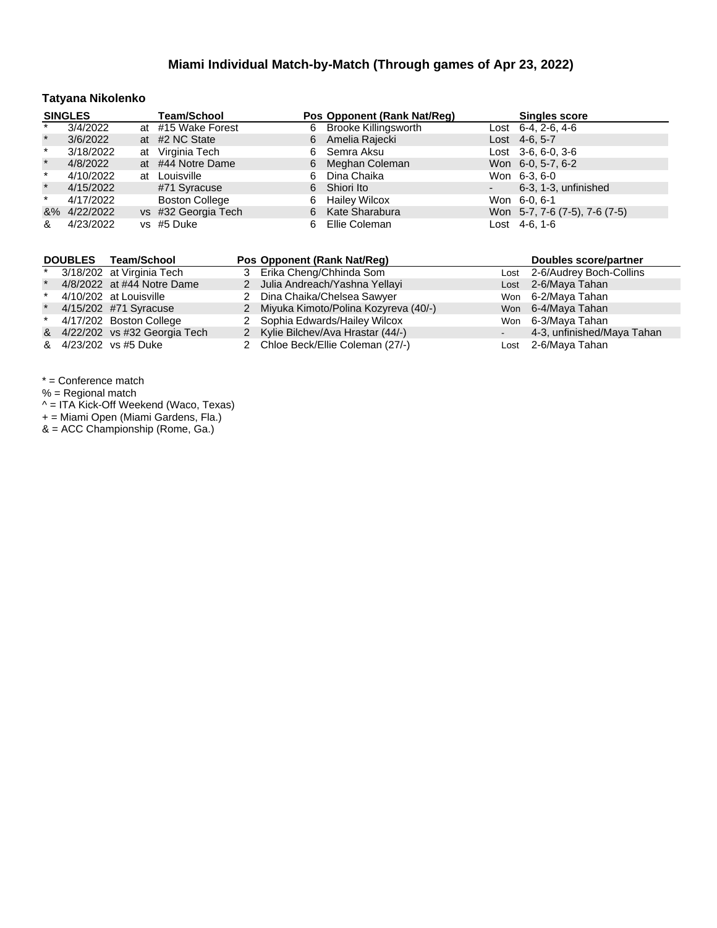### **Tatyana Nikolenko**

|         | <b>SINGLES</b> |    | <b>Team/School</b>    |    | Pos Opponent (Rank Nat/Reg) |    | <b>Singles score</b>          |
|---------|----------------|----|-----------------------|----|-----------------------------|----|-------------------------------|
| $\star$ | 3/4/2022       |    | at #15 Wake Forest    | 6  | Brooke Killingsworth        |    | Lost $6-4$ , 2 $-6$ , 4 $-6$  |
| $\star$ | 3/6/2022       |    | at #2 NC State        |    | 6 Amelia Rajecki            |    | Lost 4-6, 5-7                 |
| $\star$ | 3/18/2022      |    | at Virginia Tech      | 6. | Semra Aksu                  |    | Lost $3-6, 6-0, 3-6$          |
| $\star$ | 4/8/2022       |    | at #44 Notre Dame     | 6  | Meghan Coleman              |    | Won 6-0, 5-7, 6-2             |
| $\star$ | 4/10/2022      | at | Louisville            | 6. | Dina Chaika                 |    | Won 6-3, 6-0                  |
| $\star$ | 4/15/2022      |    | #71 Syracuse          |    | 6 Shiori Ito                | ۰. | 6-3, 1-3, unfinished          |
| $\star$ | 4/17/2022      |    | <b>Boston College</b> | 6. | Hailey Wilcox               |    | Won 6-0, 6-1                  |
|         | &% 4/22/2022   |    | vs #32 Georgia Tech   |    | 6 Kate Sharabura            |    | Won 5-7, 7-6 (7-5), 7-6 (7-5) |
| &       | 4/23/2022      |    | vs #5 Duke            | 6. | Ellie Coleman               |    | Lost 4-6, 1-6                 |

|         | DOUBLES Team/School            | Pos Opponent (Rank Nat/Req)            | Doubles score/partner        |
|---------|--------------------------------|----------------------------------------|------------------------------|
|         | 3/18/202 at Virginia Tech      | 3 Erika Cheng/Chhinda Som              | Lost 2-6/Audrey Boch-Collins |
| $\star$ | 4/8/2022 at #44 Notre Dame     | 2 Julia Andreach/Yashna Yellayi        | Lost 2-6/Maya Tahan          |
|         | 4/10/202 at Louisville         | 2 Dina Chaika/Chelsea Sawyer           | Won 6-2/Maya Tahan           |
| $\star$ | 4/15/202 #71 Syracuse          | 2 Miyuka Kimoto/Polina Kozyreva (40/-) | Won 6-4/Maya Tahan           |
| $\star$ | 4/17/202 Boston College        | 2 Sophia Edwards/Hailey Wilcox         | Won 6-3/Maya Tahan           |
|         | & 4/22/202 vs #32 Georgia Tech | 2 Kylie Bilchev/Ava Hrastar (44/-)     | 4-3, unfinished/Maya Tahan   |
|         | & 4/23/202 vs #5 Duke          | 2 Chloe Beck/Ellie Coleman (27/-)      | Lost 2-6/Maya Tahan          |

\* = Conference match

% = Regional match

^ = ITA Kick-Off Weekend (Waco, Texas)

+ = Miami Open (Miami Gardens, Fla.)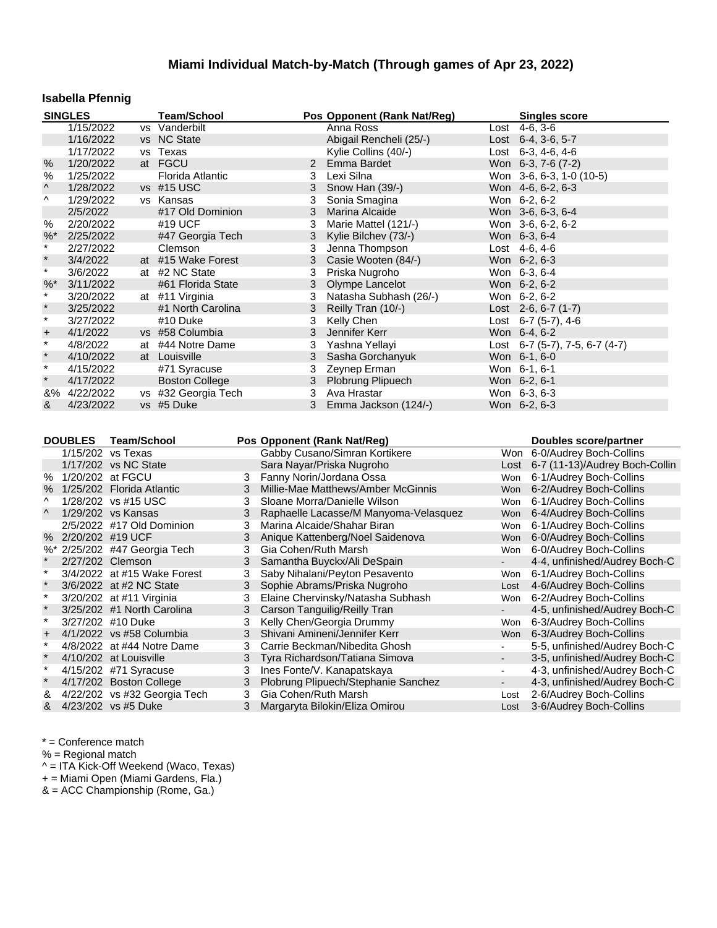# **Isabella Pfennig**

\* = Conference match

 $%$  = Regional match

^ = ITA Kick-Off Weekend (Waco, Texas)

+ = Miami Open (Miami Gardens, Fla.)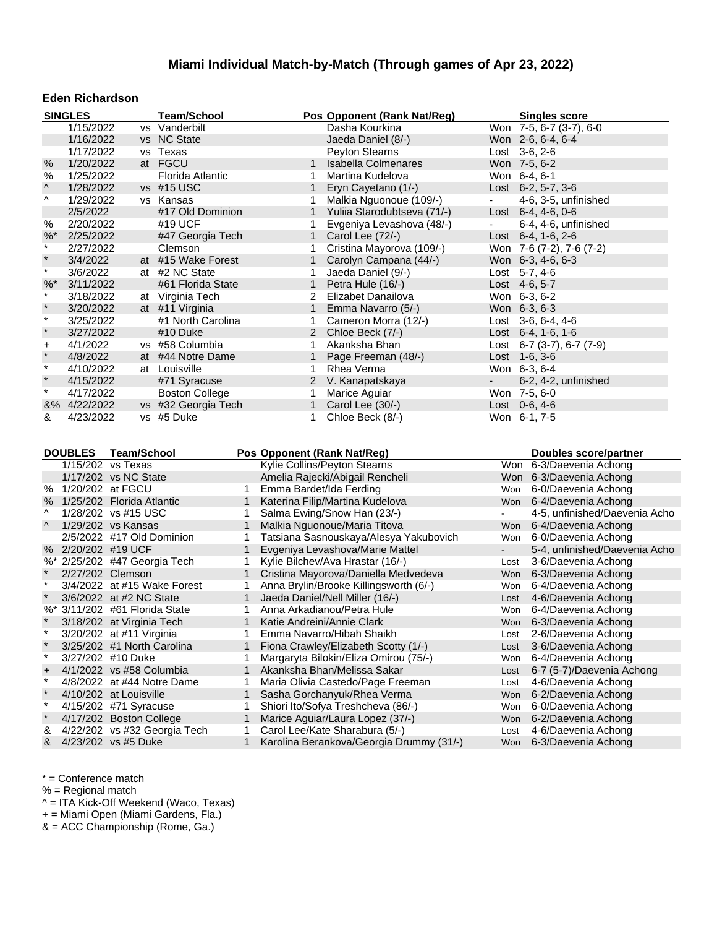#### **Eden Richardson**

|                       | <b>SINGLES</b>                |                    | <b>Team/School</b>                |              | Pos Opponent (Rank Nat/Reg)                                                |                          | <b>Singles score</b>                       |
|-----------------------|-------------------------------|--------------------|-----------------------------------|--------------|----------------------------------------------------------------------------|--------------------------|--------------------------------------------|
|                       | 1/15/2022                     |                    | vs Vanderbilt                     |              | Dasha Kourkina                                                             |                          | Won 7-5, 6-7 (3-7), 6-0                    |
|                       | 1/16/2022                     |                    | vs NC State                       |              | Jaeda Daniel (8/-)                                                         |                          | Won 2-6, 6-4, 6-4                          |
|                       | 1/17/2022                     |                    | vs Texas                          |              | <b>Peyton Stearns</b>                                                      |                          | Lost 3-6, 2-6                              |
| %                     | 1/20/2022                     |                    | at FGCU                           |              | <b>Isabella Colmenares</b><br>1                                            |                          | Won 7-5, 6-2                               |
| $\%$                  | 1/25/2022                     |                    | Florida Atlantic                  |              | Martina Kudelova                                                           |                          | Won 6-4, 6-1                               |
| Λ                     | 1/28/2022                     |                    | vs #15 USC                        |              | $\mathbf{1}$<br>Eryn Cayetano (1/-)                                        |                          | Lost 6-2, 5-7, 3-6                         |
| ۸                     | 1/29/2022                     |                    | vs Kansas                         |              | Malkia Nguonoue (109/-)<br>1                                               | $\overline{\phantom{a}}$ | 4-6, 3-5, unfinished                       |
|                       | 2/5/2022                      |                    | #17 Old Dominion                  |              | Yuliia Starodubtseva (71/-)<br>1                                           |                          | Lost $6-4, 4-6, 0-6$                       |
| $\%$                  | 2/20/2022                     |                    | #19 UCF                           |              | Evgeniya Levashova (48/-)<br>1                                             |                          | 6-4, 4-6, unfinished                       |
| %                     | 2/25/2022                     |                    | #47 Georgia Tech                  |              | $\mathbf{1}$<br>Carol Lee (72/-)                                           |                          | Lost $6-4$ , 1-6, 2-6                      |
| $\star$               | 2/27/2022                     |                    | Clemson                           |              | Cristina Mayorova (109/-)<br>1                                             |                          | Won 7-6 (7-2), 7-6 (7-2)                   |
| $\star$               | 3/4/2022                      |                    | at #15 Wake Forest                |              | $\mathbf 1$<br>Carolyn Campana (44/-)                                      |                          | Won 6-3, 4-6, 6-3                          |
| $\star$               | 3/6/2022                      |                    | at #2 NC State                    |              | Jaeda Daniel (9/-)<br>1                                                    |                          | Lost 5-7, 4-6                              |
| $\%$                  | 3/11/2022                     |                    | #61 Florida State                 |              | $\mathbf{1}$                                                               |                          |                                            |
| $\star$               | 3/18/2022                     |                    |                                   |              | Petra Hule (16/-)<br>Elizabet Danailova<br>2                               |                          | Lost 4-6, 5-7                              |
| $\star$               |                               |                    | at Virginia Tech                  |              |                                                                            |                          | Won 6-3, 6-2                               |
| $\star$               | 3/20/2022                     |                    | at #11 Virginia                   |              | Emma Navarro (5/-)<br>$\mathbf{1}$                                         |                          | Won 6-3, 6-3                               |
| $\ast$                | 3/25/2022                     |                    | #1 North Carolina                 |              | Cameron Morra (12/-)<br>1                                                  |                          | Lost $3-6, 6-4, 4-6$                       |
|                       | 3/27/2022                     |                    | #10 Duke                          |              | 2 Chloe Beck (7/-)                                                         |                          | Lost 6-4, 1-6, 1-6                         |
| +<br>$\star$          | 4/1/2022                      |                    | vs #58 Columbia                   |              | Akanksha Bhan<br>1                                                         |                          | Lost 6-7 $(3-7)$ , 6-7 $(7-9)$             |
| $\star$               | 4/8/2022                      |                    | at #44 Notre Dame                 |              | $\mathbf 1$<br>Page Freeman (48/-)                                         |                          | Lost 1-6, 3-6                              |
|                       | 4/10/2022                     |                    | at Louisville                     |              | Rhea Verma<br>1                                                            |                          | Won 6-3, 6-4                               |
| $\star$               | 4/15/2022                     |                    | #71 Syracuse                      |              | $\overline{2}$<br>V. Kanapatskaya                                          |                          | 6-2, 4-2, unfinished                       |
| $\star$               | 4/17/2022                     |                    | <b>Boston College</b>             |              | Marice Aguiar<br>1                                                         |                          | Won 7-5, 6-0                               |
| &                     | &% 4/22/2022<br>4/23/2022     |                    | vs #32 Georgia Tech<br>vs #5 Duke |              | $\mathbf{1}$<br>Carol Lee (30/-)<br>Chloe Beck (8/-)<br>1                  |                          | Lost $0-6, 4-6$<br>Won 6-1, 7-5            |
|                       |                               |                    |                                   |              |                                                                            |                          |                                            |
|                       | <b>DOUBLES</b>                | <b>Team/School</b> |                                   |              | Pos Opponent (Rank Nat/Reg)                                                |                          | Doubles score/partner                      |
|                       | 1/15/202 vs Texas             |                    |                                   |              | Kylie Collins/Peyton Stearns                                               |                          | Won 6-3/Daevenia Achong                    |
|                       | 1/17/202 vs NC State          |                    |                                   |              | Amelia Rajecki/Abigail Rencheli                                            |                          | Won 6-3/Daevenia Achong                    |
|                       | % 1/20/202 at FGCU            |                    |                                   | 1.           | Emma Bardet/Ida Ferding                                                    |                          | Won 6-0/Daevenia Achong                    |
| $\frac{0}{0}$         | 1/25/202 Florida Atlantic     |                    |                                   | 1            | Katerina Filip/Martina Kudelova                                            |                          | Won 6-4/Daevenia Achong                    |
| Λ                     | 1/28/202 vs #15 USC           |                    |                                   | 1            | Salma Ewing/Snow Han (23/-)                                                |                          | 4-5, unfinished/Daevenia Acho              |
| $\boldsymbol{\wedge}$ | 1/29/202 vs Kansas            |                    |                                   | $\mathbf{1}$ | Malkia Nguonoue/Maria Titova                                               |                          | Won 6-4/Daevenia Achong                    |
|                       | 2/5/2022 #17 Old Dominion     |                    |                                   | 1            | Tatsiana Sasnouskaya/Alesya Yakubovich                                     |                          | Won 6-0/Daevenia Achong                    |
|                       | % 2/20/202 #19 UCF            |                    |                                   | 1            | Evgeniya Levashova/Marie Mattel                                            |                          | 5-4, unfinished/Daevenia Acho              |
|                       | %* 2/25/202 #47 Georgia Tech  |                    |                                   | 1            | Kylie Bilchev/Ava Hrastar (16/-)                                           | Lost                     | 3-6/Daevenia Achong                        |
| $\star$               | 2/27/202 Clemson              |                    |                                   | $\mathbf{1}$ | Cristina Mayorova/Daniella Medvedeva                                       |                          | Won 6-3/Daevenia Achong                    |
| $\pmb{\ast}$          |                               |                    | 3/4/2022 at #15 Wake Forest       | 1.           | Anna Brylin/Brooke Killingsworth (6/-)                                     | Won                      | 6-4/Daevenia Achong                        |
| $\star$               | 3/6/2022 at #2 NC State       |                    |                                   | 1            | Jaeda Daniel/Nell Miller (16/-)                                            | Lost                     | 4-6/Daevenia Achong                        |
|                       | %* 3/11/202 #61 Florida State |                    |                                   | 1            | Anna Arkadianou/Petra Hule                                                 |                          | Won 6-4/Daevenia Achong                    |
| $\star$               | 3/18/202 at Virginia Tech     |                    |                                   | $\mathbf{1}$ | Katie Andreini/Annie Clark                                                 |                          | Won 6-3/Daevenia Achong                    |
| $\ast$                | 3/20/202 at #11 Virginia      |                    |                                   | 1.           | Emma Navarro/Hibah Shaikh                                                  |                          | Lost 2-6/Daevenia Achong                   |
| $\star$               | 3/25/202 #1 North Carolina    |                    |                                   |              | Fiona Crawley/Elizabeth Scotty (1/-)                                       | Lost                     | 3-6/Daevenia Achong                        |
| $\ast$                | 3/27/202 #10 Duke             |                    |                                   | 1            | Margaryta Bilokin/Eliza Omirou (75/-)                                      | Won                      | 6-4/Daevenia Achong                        |
| $\ddot{}$             | 4/1/2022 vs #58 Columbia      |                    |                                   | $\mathbf{1}$ | Akanksha Bhan/Melissa Sakar                                                | Lost                     | 6-7 (5-7)/Daevenia Achong                  |
| $\star$               | 4/8/2022 at #44 Notre Dame    |                    |                                   | 1            | Maria Olivia Castedo/Page Freeman                                          | Lost                     | 4-6/Daevenia Achong                        |
| $\star$               | 4/10/202 at Louisville        |                    |                                   | 1            | Sasha Gorchanyuk/Rhea Verma                                                | Won                      | 6-2/Daevenia Achong                        |
| $\star$               | 4/15/202 #71 Syracuse         |                    |                                   | 1            | Shiori Ito/Sofya Treshcheva (86/-)                                         | Won                      | 6-0/Daevenia Achong                        |
| $\ast$                | 4/17/202 Boston College       |                    |                                   | 1            | Marice Aguiar/Laura Lopez (37/-)                                           | Won                      | 6-2/Daevenia Achong                        |
| &<br>&                | 4/23/202 vs #5 Duke           |                    | 4/22/202 vs #32 Georgia Tech      | 1            | Carol Lee/Kate Sharabura (5/-)<br>Karolina Berankova/Georgia Drummy (31/-) | Lost                     | 4-6/Daevenia Achong<br>6-3/Daevenia Achong |

\* = Conference match

% = Regional match

^ = ITA Kick-Off Weekend (Waco, Texas)

+ = Miami Open (Miami Gardens, Fla.)